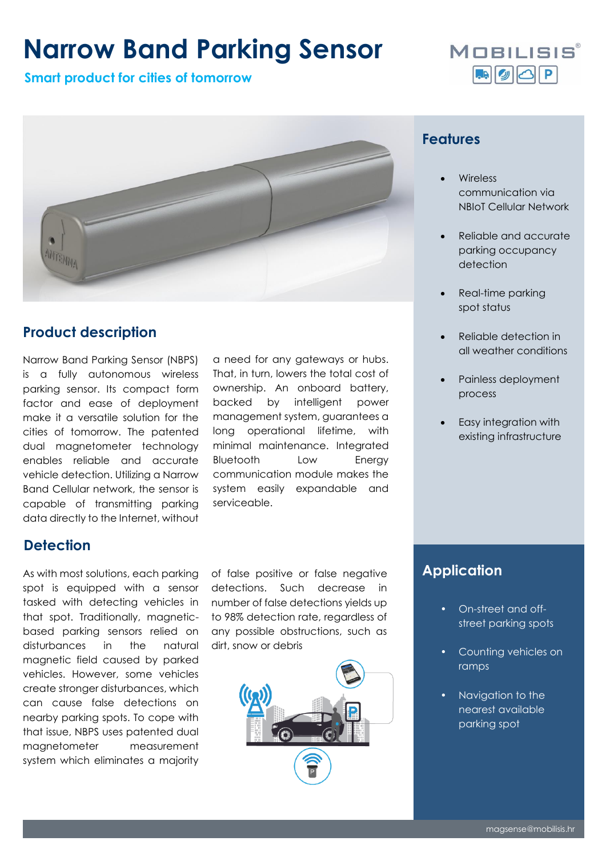# **Narrow Band Parking Sensor**

**Smart product for cities of tomorrow**





# **Product description**

Narrow Band Parking Sensor (NBPS) is a fully autonomous wireless parking sensor. Its compact form factor and ease of deployment make it a versatile solution for the cities of tomorrow. The patented dual magnetometer technology enables reliable and accurate vehicle detection. Utilizing a Narrow Band Cellular network, the sensor is capable of transmitting parking data directly to the Internet, without

a need for any gateways or hubs. That, in turn, lowers the total cost of ownership. An onboard battery, backed by intelligent power management system, guarantees a long operational lifetime, with minimal maintenance. Integrated Bluetooth Low Energy communication module makes the system easily expandable and serviceable.

#### **Features**

- **Wireless** communication via NBIoT Cellular Network
- Reliable and accurate parking occupancy detection
- Real-time parking spot status
- Reliable detection in all weather conditions
- Painless deployment process
- Easy integration with existing infrastructure

### **Detection**

As with most solutions, each parking spot is equipped with a sensor tasked with detecting vehicles in that spot. Traditionally, magneticbased parking sensors relied on disturbances in the natural magnetic field caused by parked vehicles. However, some vehicles create stronger disturbances, which can cause false detections on nearby parking spots. To cope with that issue, NBPS uses patented dual magnetometer measurement system which eliminates a majority

of false positive or false negative detections. Such decrease in number of false detections yields up to 98% detection rate, regardless of any possible obstructions, such as dirt, snow or debris



### **Application**

- On-street and offstreet parking spots
- Counting vehicles on ramps
- Navigation to the nearest available parking spot